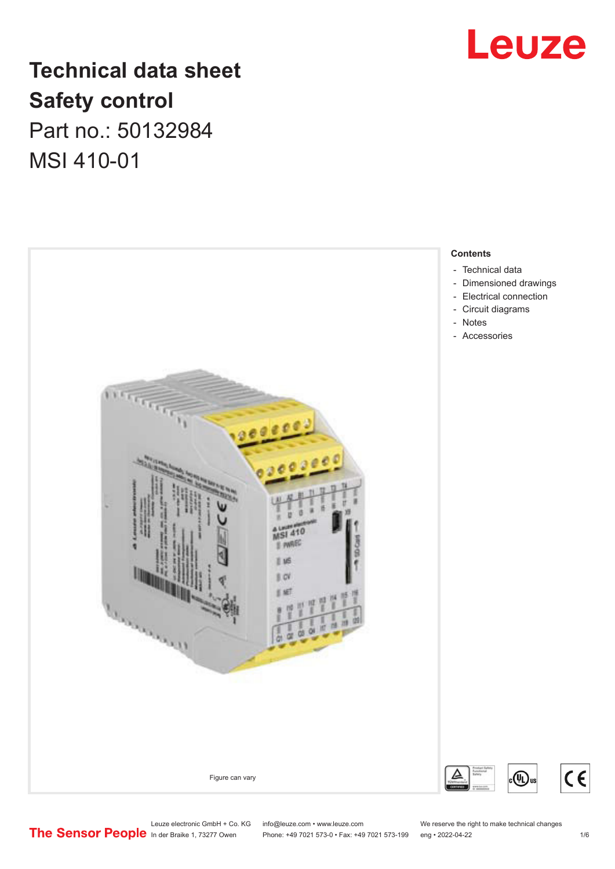

## **Technical data sheet Safety control** Part no.: 50132984

MSI 410-01



Leuze electronic GmbH + Co. KG info@leuze.com • www.leuze.com We reserve the right to make technical changes<br> **The Sensor People** in der Braike 1, 73277 Owen Phone: +49 7021 573-0 • Fax: +49 7021 573-199 eng • 2022-04-22

Phone: +49 7021 573-0 • Fax: +49 7021 573-199 eng • 2022-04-22 1 1 16

 $c \in$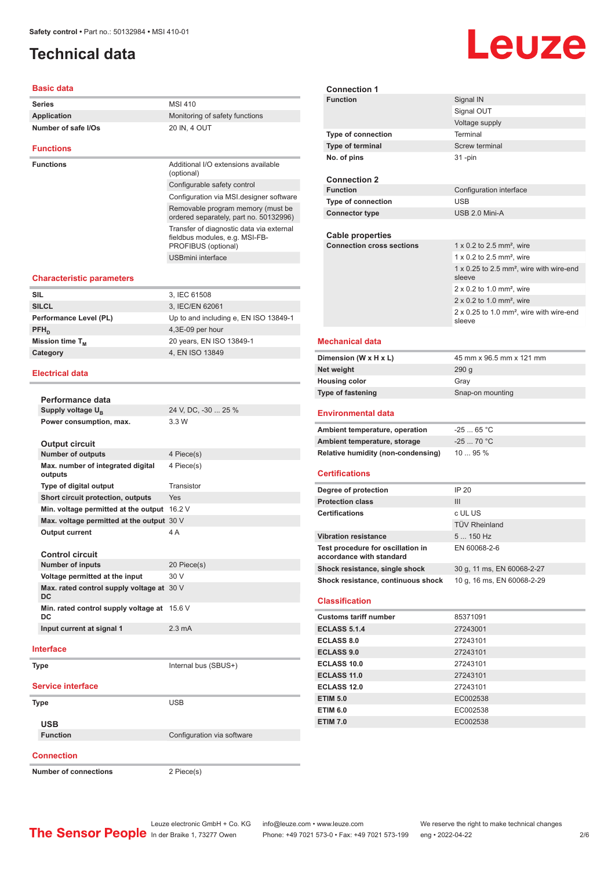## <span id="page-1-0"></span>**Technical data**

#### **Basic data**

| <b>Series</b>       | MSI 410                        |
|---------------------|--------------------------------|
| Application         | Monitoring of safety functions |
| Number of safe I/Os | 20 IN, 4 OUT                   |
|                     |                                |
| <b>Functions</b>    |                                |

**Functions Functions Additional I/O extensions available** (optional) Configurable safety control Configuration via MSI.designer software Removable program memory (must be ordered separately, part no. 50132996) Transfer of diagnostic data via external fieldbus modules, e.g. MSI-FB-PROFIBUS (optional) USBmini interface

#### **Characteristic parameters**

| <b>SIL</b>             | 3, IEC 61508                          |
|------------------------|---------------------------------------|
| <b>SILCL</b>           | 3, IEC/EN 62061                       |
| Performance Level (PL) | Up to and including e, EN ISO 13849-1 |
| $PFH_n$                | 4,3E-09 per hour                      |
| Mission time $T_{M}$   | 20 years, EN ISO 13849-1              |
| Category               | 4, EN ISO 13849                       |
|                        |                                       |

#### **Electrical data**

| Performance data                                |                            |
|-------------------------------------------------|----------------------------|
| Supply voltage U <sub>B</sub>                   | 24 V, DC, -30  25 %        |
| Power consumption, max.                         | 3.3 W                      |
| <b>Output circuit</b>                           |                            |
| <b>Number of outputs</b>                        | 4 Piece(s)                 |
| Max. number of integrated digital<br>outputs    | 4 Piece(s)                 |
| Type of digital output                          | Transistor                 |
| Short circuit protection, outputs               | Yes                        |
| Min. voltage permitted at the output            | 16.2 V                     |
| Max. voltage permitted at the output 30 V       |                            |
| <b>Output current</b>                           | 4 A                        |
|                                                 |                            |
| <b>Control circuit</b>                          |                            |
| <b>Number of inputs</b>                         | 20 Piece(s)                |
| Voltage permitted at the input                  | 30 V                       |
| Max. rated control supply voltage at 30 V<br>DC |                            |
| Min. rated control supply voltage at<br>DC      | 15.6 V                     |
| Input current at signal 1                       | $2.3 \text{ mA}$           |
| Interface                                       |                            |
|                                                 |                            |
| <b>Type</b>                                     | Internal bus (SBUS+)       |
| <b>Service interface</b>                        |                            |
| Type                                            | <b>USB</b>                 |
|                                                 |                            |
| <b>USB</b>                                      |                            |
| <b>Function</b>                                 | Configuration via software |
| <b>Connection</b>                               |                            |

**Number of connections** 2 Piece(s)

| <b>Connection 1</b>                                           |                                                                |
|---------------------------------------------------------------|----------------------------------------------------------------|
| <b>Function</b>                                               | Signal IN                                                      |
|                                                               | Signal OUT                                                     |
|                                                               | Voltage supply                                                 |
| <b>Type of connection</b>                                     | Terminal                                                       |
| Type of terminal                                              | Screw terminal                                                 |
| No. of pins                                                   | $31 - pin$                                                     |
| <b>Connection 2</b><br><b>Function</b>                        | Configuration interface                                        |
| Type of connection                                            | <b>USB</b>                                                     |
| <b>Connector type</b>                                         | USB 2.0 Mini-A                                                 |
|                                                               |                                                                |
| Cable properties                                              |                                                                |
| <b>Connection cross sections</b>                              | 1 x 0.2 to 2.5 mm <sup>2</sup> , wire                          |
|                                                               | $1 \times 0.2$ to 2.5 mm <sup>2</sup> , wire                   |
|                                                               | 1 x 0.25 to 2.5 mm <sup>2</sup> , wire with wire-end           |
|                                                               | sleeve                                                         |
|                                                               | 2 x 0.2 to 1.0 mm <sup>2</sup> , wire                          |
|                                                               | $2 \times 0.2$ to 1.0 mm <sup>2</sup> , wire                   |
|                                                               | 2 x 0.25 to 1.0 mm <sup>2</sup> , wire with wire-end<br>sleeve |
| <b>Mechanical data</b>                                        |                                                                |
| Dimension (W x H x L)                                         | 45 mm x 96.5 mm x 121 mm                                       |
| Net weight                                                    | 290 g                                                          |
| <b>Housing color</b>                                          | Gray                                                           |
| <b>Type of fastening</b>                                      | Snap-on mounting                                               |
|                                                               |                                                                |
| <b>Environmental data</b>                                     |                                                                |
|                                                               |                                                                |
| Ambient temperature, operation                                | $-2565 °C$                                                     |
| Ambient temperature, storage                                  | $-2570 °C$                                                     |
| <b>Relative humidity (non-condensing)</b>                     | 10  95 %                                                       |
| <b>Certifications</b>                                         |                                                                |
| Degree of protection                                          | IP 20                                                          |
| <b>Protection class</b>                                       | III                                                            |
| <b>Certifications</b>                                         | c UL US                                                        |
|                                                               | <b>TÜV Rheinland</b>                                           |
| <b>Vibration resistance</b>                                   | 5  150 Hz                                                      |
| Test procedure for oscillation in<br>accordance with standard | EN 60068-2-6                                                   |
| Shock resistance, single shock                                | 30 g, 11 ms, EN 60068-2-27                                     |
| Shock resistance, continuous shock                            | 10 g, 16 ms, EN 60068-2-29                                     |
| <b>Classification</b>                                         |                                                                |
| <b>Customs tariff number</b>                                  | 85371091                                                       |
| <b>ECLASS 5.1.4</b>                                           | 27243001                                                       |
| <b>ECLASS 8.0</b>                                             | 27243101                                                       |
| <b>ECLASS 9.0</b>                                             | 27243101                                                       |
| <b>ECLASS 10.0</b>                                            | 27243101                                                       |
| <b>ECLASS 11.0</b>                                            | 27243101                                                       |
| <b>ECLASS 12.0</b>                                            | 27243101                                                       |
| <b>ETIM 5.0</b>                                               | EC002538                                                       |
| <b>ETIM 6.0</b>                                               | EC002538                                                       |
| <b>ETIM 7.0</b>                                               | EC002538                                                       |

Leuze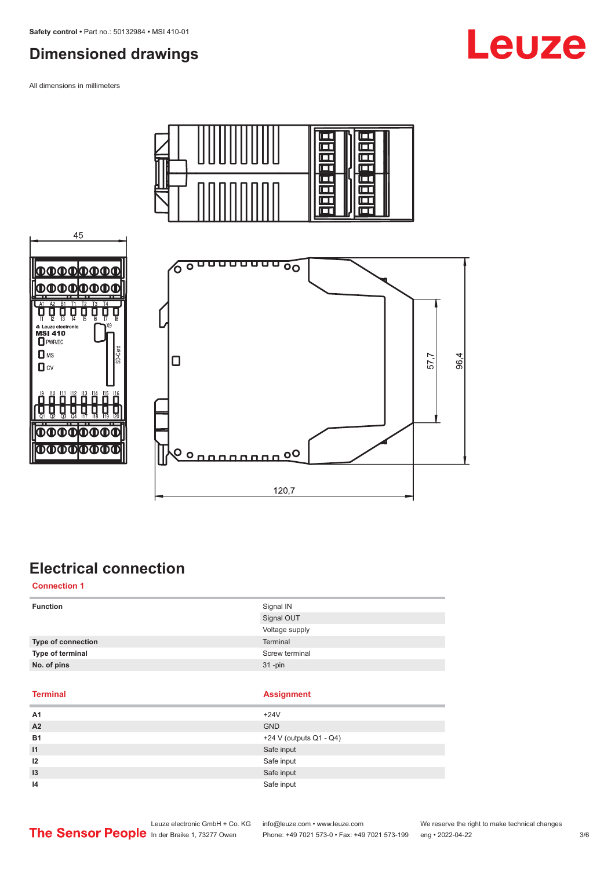## <span id="page-2-0"></span>**Dimensioned drawings**

All dimensions in millimeters

45

ਸੂ Ų

Ę

നനന

**DOOO** 

△ Leuze elect<br>MSI 410<br>□ PWR/EC  $\Box$  MS

 $\Box$  cv





## **Electrical connection**

**Connection 1**

| <b>Function</b>    | Signal IN      |
|--------------------|----------------|
|                    | Signal OUT     |
|                    | Voltage supply |
| Type of connection | Terminal       |
| Type of terminal   | Screw terminal |
| No. of pins        | $31$ -pin      |

### **Terminal Assignment**

| A1              | $+24V$                  |
|-----------------|-------------------------|
| A2              | <b>GND</b>              |
| <b>B1</b>       | +24 V (outputs Q1 - Q4) |
| $\overline{11}$ | Safe input              |
| 12              | Safe input              |
| 13              | Safe input              |
| 14              | Safe input              |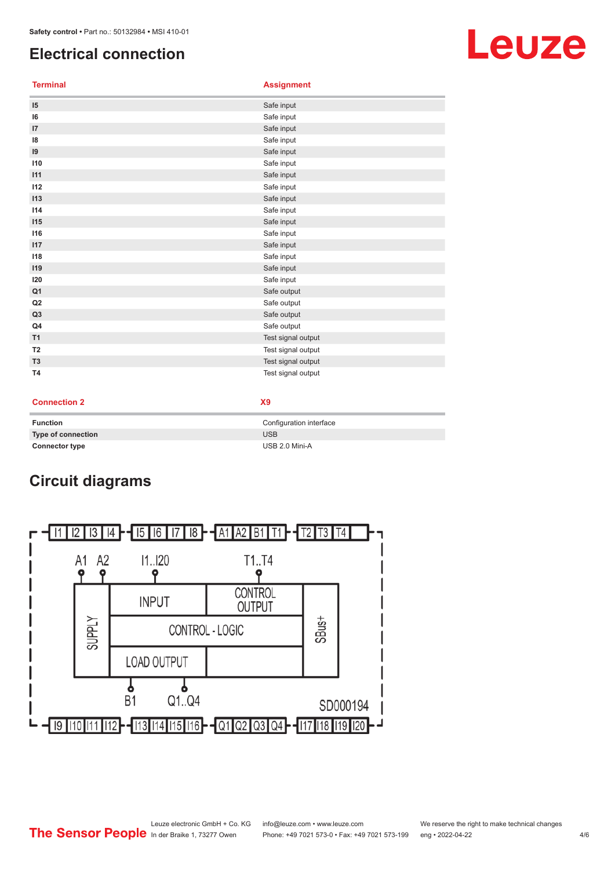## <span id="page-3-0"></span>**Electrical connection**

**Terminal Assignment**

| 15             | Safe input         |
|----------------|--------------------|
| 16             | Safe input         |
| 17             | Safe input         |
| 18             | Safe input         |
| 19             | Safe input         |
| 110            | Safe input         |
| 111            | Safe input         |
| 112            | Safe input         |
| 113            | Safe input         |
| 114            | Safe input         |
| 115            | Safe input         |
| 116            | Safe input         |
| 117            | Safe input         |
| 118            | Safe input         |
| 119            | Safe input         |
| 120            | Safe input         |
| Q <sub>1</sub> | Safe output        |
| Q2             | Safe output        |
| Q <sub>3</sub> | Safe output        |
| Q4             | Safe output        |
| T1             | Test signal output |
| T <sub>2</sub> | Test signal output |
| T <sub>3</sub> | Test signal output |
| <b>T4</b>      | Test signal output |

### **Connection 2 X9**

i.

| <b>Function</b>       | Configuration interface |
|-----------------------|-------------------------|
| Type of connection    | <b>USB</b>              |
| <b>Connector type</b> | USB 2.0 Mini-A          |

## **Circuit diagrams**



# Leuze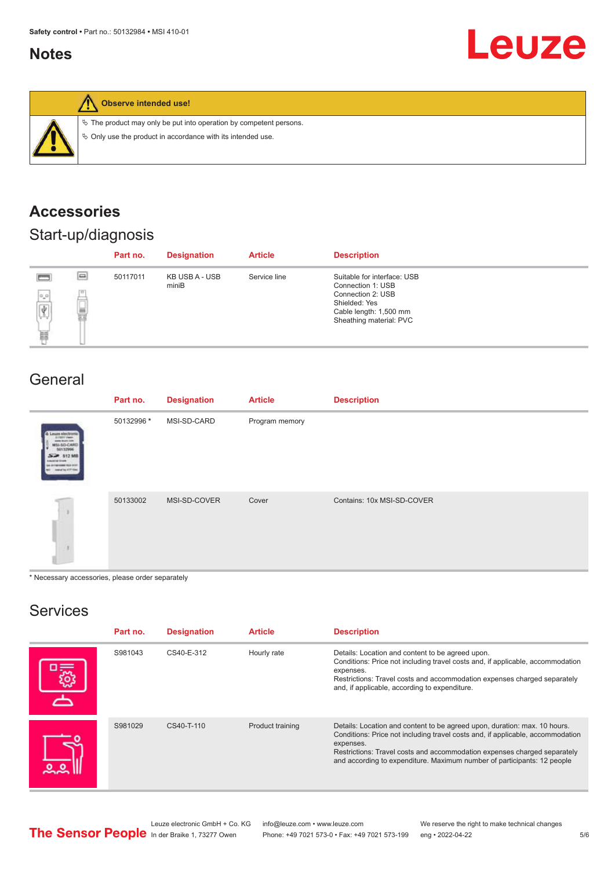## <span id="page-4-0"></span>**Notes**

# **Leuze**



**Observe intended use!**

 $\%$  The product may only be put into operation by competent persons.

 $\ddot{\phi}$  Only use the product in accordance with its intended use.

## **Accessories**

## Start-up/diagnosis

|                                                                                  |          | Part no. | <b>Designation</b>      | <b>Article</b> | <b>Description</b>                                                                                                                          |
|----------------------------------------------------------------------------------|----------|----------|-------------------------|----------------|---------------------------------------------------------------------------------------------------------------------------------------------|
| <b>Press</b><br>$\frac{1}{\left \displaystyle\oint\limits_{\Omega}}\right $<br>畺 | $\equiv$ | 50117011 | KB USB A - USB<br>miniB | Service line   | Suitable for interface: USB<br>Connection 1: USB<br>Connection 2: USB<br>Shielded: Yes<br>Cable length: 1,500 mm<br>Sheathing material: PVC |

## General

|                                                                                                     | Part no.   | <b>Designation</b> | <b>Article</b> | <b>Description</b>         |
|-----------------------------------------------------------------------------------------------------|------------|--------------------|----------------|----------------------------|
| & Louze electronic<br>pone leure live<br>MSI-SO-CAR<br>10132994<br>SEP 512 MB<br>manufike ATP Class | 50132996 * | MSI-SD-CARD        | Program memory |                            |
|                                                                                                     | 50133002   | MSI-SD-COVER       | Cover          | Contains: 10x MSI-SD-COVER |

\* Necessary accessories, please order separately

## Services

| Part no. | <b>Designation</b> | <b>Article</b>   | <b>Description</b>                                                                                                                                                                                                                                                                                                              |
|----------|--------------------|------------------|---------------------------------------------------------------------------------------------------------------------------------------------------------------------------------------------------------------------------------------------------------------------------------------------------------------------------------|
| S981043  | CS40-E-312         | Hourly rate      | Details: Location and content to be agreed upon.<br>Conditions: Price not including travel costs and, if applicable, accommodation<br>expenses.<br>Restrictions: Travel costs and accommodation expenses charged separately<br>and, if applicable, according to expenditure.                                                    |
| S981029  | CS40-T-110         | Product training | Details: Location and content to be agreed upon, duration: max. 10 hours.<br>Conditions: Price not including travel costs and, if applicable, accommodation<br>expenses.<br>Restrictions: Travel costs and accommodation expenses charged separately<br>and according to expenditure. Maximum number of participants: 12 people |